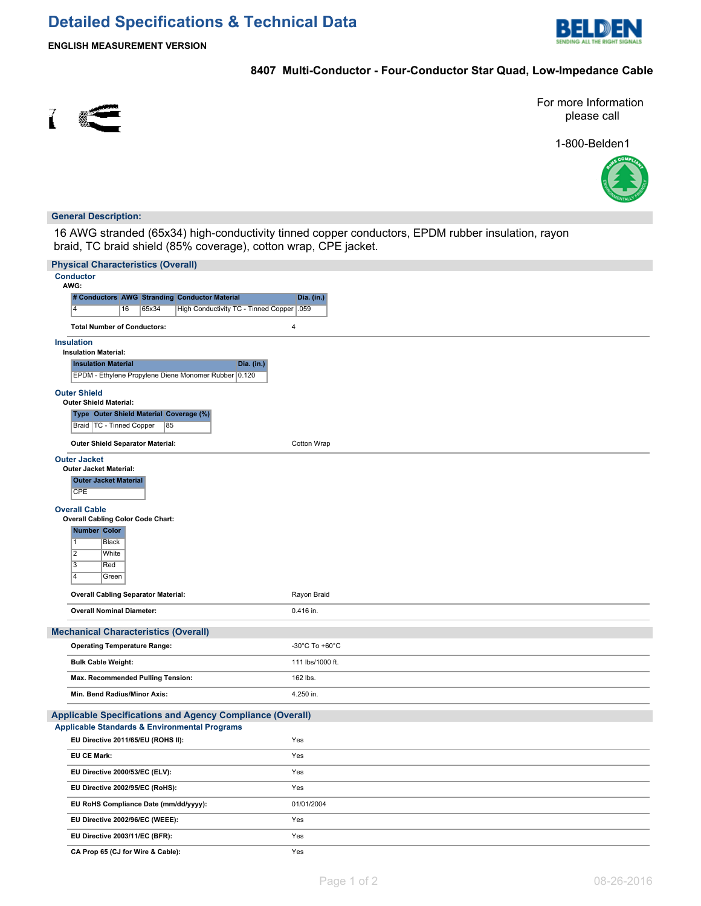# **Detailed Specifications & Technical Data**



**ENGLISH MEASUREMENT VERSION**

## **8407 Multi-Conductor - Four-Conductor Star Quad, Low-Impedance Cable**



For more Information please call

1-800-Belden1



## **General Description:**

16 AWG stranded (65x34) high-conductivity tinned copper conductors, EPDM rubber insulation, rayon braid, TC braid shield (85% coverage), cotton wrap, CPE jacket.

| <b>Physical Characteristics (Overall)</b>                                                                                                                                                                                                                                                                      |                  |
|----------------------------------------------------------------------------------------------------------------------------------------------------------------------------------------------------------------------------------------------------------------------------------------------------------------|------------------|
| <b>Conductor</b><br>AWG:                                                                                                                                                                                                                                                                                       |                  |
| # Conductors AWG Stranding Conductor Material                                                                                                                                                                                                                                                                  | Dia. (in.)       |
| $\overline{a}$<br>16<br>High Conductivity TC - Tinned Copper   .059<br>65x34                                                                                                                                                                                                                                   |                  |
| <b>Total Number of Conductors:</b>                                                                                                                                                                                                                                                                             | 4                |
| <b>Insulation</b><br><b>Insulation Material:</b><br><b>Insulation Material</b><br>Dia. (in.)<br>EPDM - Ethylene Propylene Diene Monomer Rubber 0.120                                                                                                                                                           |                  |
| <b>Outer Shield</b><br><b>Outer Shield Material:</b><br>Type Outer Shield Material Coverage (%)<br>Braid   TC - Tinned Copper<br>85                                                                                                                                                                            |                  |
| <b>Outer Shield Separator Material:</b>                                                                                                                                                                                                                                                                        | Cotton Wrap      |
| <b>Outer Jacket</b><br><b>Outer Jacket Material:</b><br><b>Outer Jacket Material</b><br><b>CPE</b><br><b>Overall Cable</b><br><b>Overall Cabling Color Code Chart:</b><br><b>Number Color</b><br>$\overline{1}$<br><b>Black</b><br>$\overline{2}$<br>White<br>$\overline{3}$<br>Red<br>$\overline{4}$<br>Green |                  |
| <b>Overall Cabling Separator Material:</b>                                                                                                                                                                                                                                                                     | Rayon Braid      |
| <b>Overall Nominal Diameter:</b>                                                                                                                                                                                                                                                                               | 0.416 in.        |
| <b>Mechanical Characteristics (Overall)</b>                                                                                                                                                                                                                                                                    |                  |
| <b>Operating Temperature Range:</b>                                                                                                                                                                                                                                                                            | -30°C To +60°C   |
| <b>Bulk Cable Weight:</b>                                                                                                                                                                                                                                                                                      | 111 lbs/1000 ft. |
| Max. Recommended Pulling Tension:                                                                                                                                                                                                                                                                              | 162 lbs.         |
| Min. Bend Radius/Minor Axis:                                                                                                                                                                                                                                                                                   | 4.250 in.        |
| <b>Applicable Specifications and Agency Compliance (Overall)</b><br><b>Applicable Standards &amp; Environmental Programs</b>                                                                                                                                                                                   |                  |
| EU Directive 2011/65/EU (ROHS II):                                                                                                                                                                                                                                                                             | Yes              |
| <b>EU CE Mark:</b>                                                                                                                                                                                                                                                                                             | Yes              |
| EU Directive 2000/53/EC (ELV):                                                                                                                                                                                                                                                                                 | Yes              |
| EU Directive 2002/95/EC (RoHS):                                                                                                                                                                                                                                                                                | Yes              |
| EU RoHS Compliance Date (mm/dd/yyyy):                                                                                                                                                                                                                                                                          | 01/01/2004       |
| EU Directive 2002/96/EC (WEEE):                                                                                                                                                                                                                                                                                | Yes              |
| EU Directive 2003/11/EC (BFR):                                                                                                                                                                                                                                                                                 | Yes              |
| CA Prop 65 (CJ for Wire & Cable):                                                                                                                                                                                                                                                                              | Yes              |